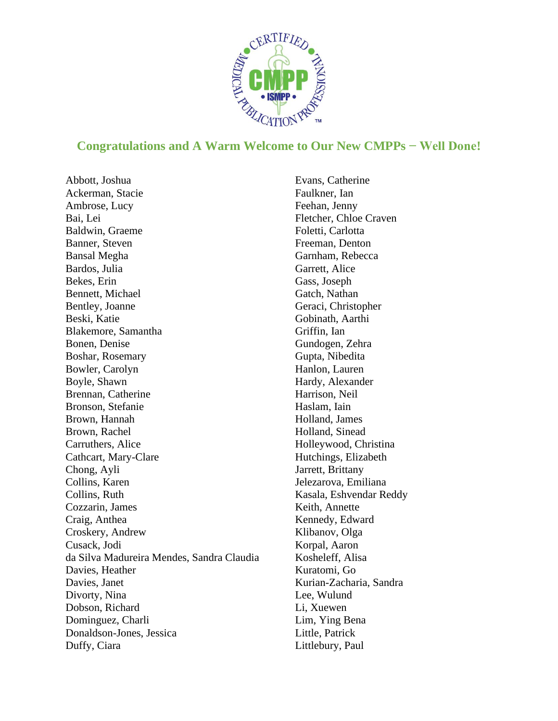

## **Congratulations and A Warm Welcome to Our New CMPPs − Well Done!**

Abbott, Joshua Ackerman, Stacie Ambrose, Lucy Bai, Lei Baldwin, Graeme Banner, Steven Bansal Megha Bardos, Julia Bekes, Erin Bennett, Michael Bentley, Joanne Beski, Katie Blakemore, Samantha Bonen, Denise Boshar, Rosemary Bowler, Carolyn Boyle, Shawn Brennan, Catherine Bronson, Stefanie Brown, Hannah Brown, Rachel Carruthers, Alice Cathcart, Mary-Clare Chong, Ayli Collins, Karen Collins, Ruth Cozzarin, James Craig, Anthea Croskery, Andrew Cusack, Jodi da Silva Madureira Mendes, Sandra Claudia Davies, Heather Davies, Janet Divorty, Nina Dobson, Richard Dominguez, Charli Donaldson-Jones, Jessica Duffy, Ciara

Evans, Catherine Faulkner, Ian Feehan, Jenny Fletcher, Chloe Craven Foletti, Carlotta Freeman, Denton Garnham, Rebecca Garrett, Alice Gass, Joseph Gatch, Nathan Geraci, Christopher Gobinath, Aarthi Griffin, Ian Gundogen, Zehra Gupta, Nibedita Hanlon, Lauren Hardy, Alexander Harrison, Neil Haslam, Iain Holland, James Holland, Sinead Holleywood, Christina Hutchings, Elizabeth Jarrett, Brittany Jelezarova, Emiliana Kasala, Eshvendar Reddy Keith, Annette Kennedy, Edward Klibanov, Olga Korpal, Aaron Kosheleff, Alisa Kuratomi, Go Kurian-Zacharia, Sandra Lee, Wulund Li, Xuewen Lim, Ying Bena Little, Patrick Littlebury, Paul